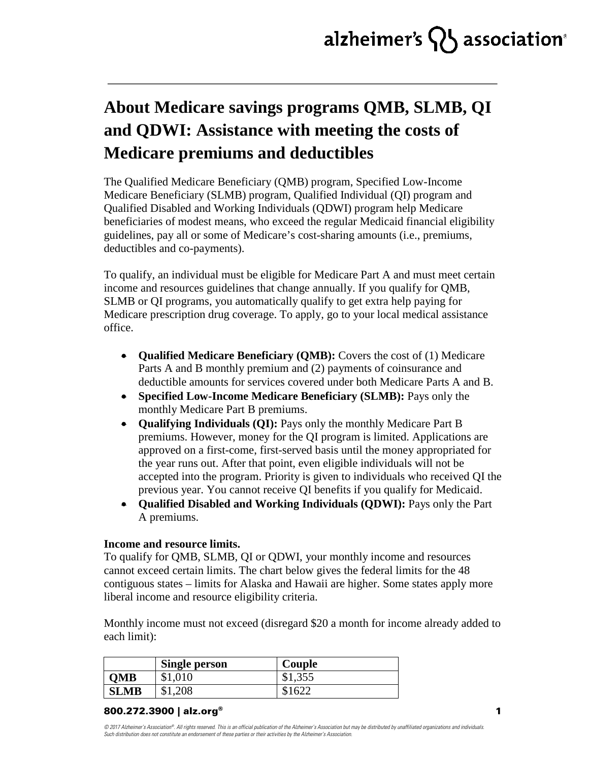# alzheimer's  $\{ \}$  association $^{\circ}$

### **About Medicare savings programs QMB, SLMB, QI and QDWI: Assistance with meeting the costs of Medicare premiums and deductibles**

The Qualified Medicare Beneficiary (QMB) program, Specified Low-Income Medicare Beneficiary (SLMB) program, Qualified Individual (QI) program and Qualified Disabled and Working Individuals (QDWI) program help Medicare beneficiaries of modest means, who exceed the regular Medicaid financial eligibility guidelines, pay all or some of Medicare's cost-sharing amounts (i.e., premiums, deductibles and co-payments).

To qualify, an individual must be eligible for Medicare Part A and must meet certain income and resources guidelines that change annually. If you qualify for QMB, SLMB or QI programs, you automatically qualify to get extra help paying for Medicare prescription drug coverage. To apply, go to your local medical assistance office.

- **Qualified Medicare Beneficiary (OMB):** Covers the cost of (1) Medicare Parts A and B monthly premium and (2) payments of coinsurance and deductible amounts for services covered under both Medicare Parts A and B.
- **Specified Low-Income Medicare Beneficiary (SLMB):** Pays only the monthly Medicare Part B premiums.
- **Qualifying Individuals (QI):** Pays only the monthly Medicare Part B premiums. However, money for the QI program is limited. Applications are approved on a first-come, first-served basis until the money appropriated for the year runs out. After that point, even eligible individuals will not be accepted into the program. Priority is given to individuals who received QI the previous year. You cannot receive QI benefits if you qualify for Medicaid.
- **Qualified Disabled and Working Individuals (QDWI):** Pays only the Part A premiums.

#### **Income and resource limits.**

To qualify for QMB, SLMB, QI or QDWI, your monthly income and resources cannot exceed certain limits. The chart below gives the federal limits for the 48 contiguous states – limits for Alaska and Hawaii are higher. Some states apply more liberal income and resource eligibility criteria.

Monthly income must not exceed (disregard \$20 a month for income already added to each limit):

|             | <b>Single person</b> | Couple  |
|-------------|----------------------|---------|
| <b>OMB</b>  | \$1,010              | \$1,355 |
| <b>SLMB</b> | \$1,208              | \$1622  |

#### 800.272.3900 | alz.org®

*© 2017 Alzheimer's Association®. All rights reserved. This is an official publication of the Alzheimer's Association but may be distributed by unaffiliated organizations and individuals. Such distribution does not constitute an endorsement of these parties or their activities by the Alzheimer's Association.*